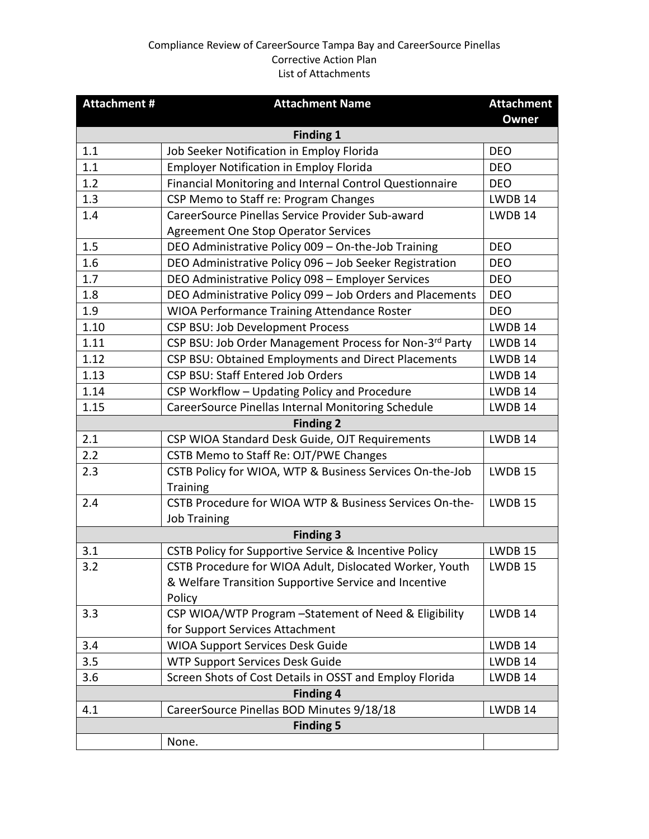## Compliance Review of CareerSource Tampa Bay and CareerSource Pinellas Corrective Action Plan List of Attachments

| <b>Attachment #</b> | <b>Attachment Name</b>                                    | <b>Attachment</b> |  |
|---------------------|-----------------------------------------------------------|-------------------|--|
|                     | <b>Finding 1</b>                                          | <b>Owner</b>      |  |
| 1.1                 | Job Seeker Notification in Employ Florida                 | <b>DEO</b>        |  |
| 1.1                 | <b>Employer Notification in Employ Florida</b>            | <b>DEO</b>        |  |
| 1.2                 | Financial Monitoring and Internal Control Questionnaire   | <b>DEO</b>        |  |
| 1.3                 | CSP Memo to Staff re: Program Changes                     | LWDB 14           |  |
| 1.4                 | CareerSource Pinellas Service Provider Sub-award          | LWDB 14           |  |
|                     | <b>Agreement One Stop Operator Services</b>               |                   |  |
| 1.5                 | DEO Administrative Policy 009 - On-the-Job Training       | <b>DEO</b>        |  |
| 1.6                 | DEO Administrative Policy 096 - Job Seeker Registration   | <b>DEO</b>        |  |
| 1.7                 | DEO Administrative Policy 098 - Employer Services         | <b>DEO</b>        |  |
| 1.8                 | DEO Administrative Policy 099 - Job Orders and Placements | <b>DEO</b>        |  |
| 1.9                 | WIOA Performance Training Attendance Roster               | <b>DEO</b>        |  |
| 1.10                | CSP BSU: Job Development Process                          | LWDB 14           |  |
| 1.11                | CSP BSU: Job Order Management Process for Non-3rd Party   | LWDB 14           |  |
| 1.12                | CSP BSU: Obtained Employments and Direct Placements       | LWDB 14           |  |
| 1.13                | <b>CSP BSU: Staff Entered Job Orders</b>                  | LWDB 14           |  |
| 1.14                | CSP Workflow - Updating Policy and Procedure              | LWDB 14           |  |
| 1.15                | CareerSource Pinellas Internal Monitoring Schedule        | LWDB 14           |  |
|                     | <b>Finding 2</b>                                          |                   |  |
| 2.1                 | CSP WIOA Standard Desk Guide, OJT Requirements            | LWDB 14           |  |
| 2.2                 | CSTB Memo to Staff Re: OJT/PWE Changes                    |                   |  |
| 2.3                 | CSTB Policy for WIOA, WTP & Business Services On-the-Job  | LWDB 15           |  |
|                     | <b>Training</b>                                           |                   |  |
| 2.4                 | CSTB Procedure for WIOA WTP & Business Services On-the-   | LWDB 15           |  |
|                     | <b>Job Training</b>                                       |                   |  |
|                     | <b>Finding 3</b>                                          |                   |  |
| 3.1                 | CSTB Policy for Supportive Service & Incentive Policy     | <b>LWDB 15</b>    |  |
| 3.2                 | CSTB Procedure for WIOA Adult. Dislocated Worker, Youth   | LWDB 15           |  |
|                     | & Welfare Transition Supportive Service and Incentive     |                   |  |
|                     | Policy                                                    |                   |  |
| 3.3                 | CSP WIOA/WTP Program - Statement of Need & Eligibility    | LWDB 14           |  |
|                     | for Support Services Attachment                           |                   |  |
| 3.4                 | <b>WIOA Support Services Desk Guide</b>                   | LWDB 14           |  |
| 3.5                 | WTP Support Services Desk Guide                           | LWDB 14           |  |
| 3.6                 | Screen Shots of Cost Details in OSST and Employ Florida   | <b>LWDB 14</b>    |  |
|                     | <b>Finding 4</b>                                          |                   |  |
| 4.1                 | CareerSource Pinellas BOD Minutes 9/18/18                 | LWDB 14           |  |
| <b>Finding 5</b>    |                                                           |                   |  |
|                     | None.                                                     |                   |  |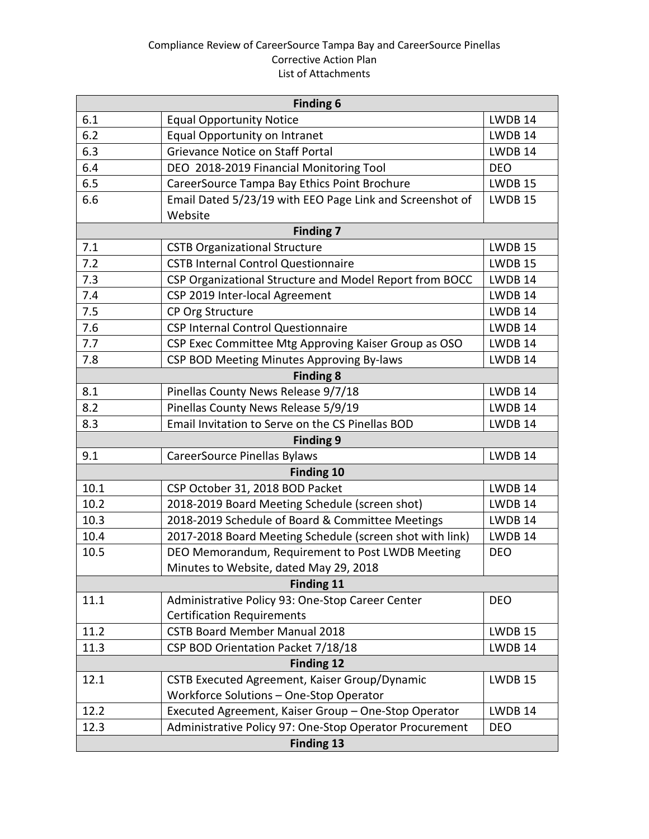## Compliance Review of CareerSource Tampa Bay and CareerSource Pinellas Corrective Action Plan List of Attachments

| <b>Finding 6</b>  |                                                          |                |  |  |
|-------------------|----------------------------------------------------------|----------------|--|--|
| 6.1               | <b>Equal Opportunity Notice</b>                          | LWDB 14        |  |  |
| 6.2               | <b>Equal Opportunity on Intranet</b>                     | LWDB 14        |  |  |
| 6.3               | Grievance Notice on Staff Portal                         | LWDB 14        |  |  |
| 6.4               | DEO 2018-2019 Financial Monitoring Tool                  | <b>DEO</b>     |  |  |
| 6.5               | CareerSource Tampa Bay Ethics Point Brochure             | <b>LWDB 15</b> |  |  |
| 6.6               | Email Dated 5/23/19 with EEO Page Link and Screenshot of | <b>LWDB 15</b> |  |  |
|                   | Website                                                  |                |  |  |
|                   | <b>Finding 7</b>                                         |                |  |  |
| 7.1               | <b>CSTB Organizational Structure</b>                     | <b>LWDB 15</b> |  |  |
| 7.2               | <b>CSTB Internal Control Questionnaire</b>               | <b>LWDB 15</b> |  |  |
| 7.3               | CSP Organizational Structure and Model Report from BOCC  | LWDB 14        |  |  |
| 7.4               | CSP 2019 Inter-local Agreement                           | LWDB 14        |  |  |
| 7.5               | CP Org Structure                                         | LWDB 14        |  |  |
| 7.6               | CSP Internal Control Questionnaire                       | LWDB 14        |  |  |
| 7.7               | CSP Exec Committee Mtg Approving Kaiser Group as OSO     | LWDB 14        |  |  |
| 7.8               | CSP BOD Meeting Minutes Approving By-laws                | LWDB 14        |  |  |
|                   | <b>Finding 8</b>                                         |                |  |  |
| 8.1               | Pinellas County News Release 9/7/18                      | LWDB 14        |  |  |
| 8.2               | Pinellas County News Release 5/9/19                      | LWDB 14        |  |  |
| 8.3               | Email Invitation to Serve on the CS Pinellas BOD         | LWDB 14        |  |  |
|                   | Finding 9                                                |                |  |  |
| 9.1               | CareerSource Pinellas Bylaws                             | LWDB 14        |  |  |
| <b>Finding 10</b> |                                                          |                |  |  |
| 10.1              | CSP October 31, 2018 BOD Packet                          | LWDB 14        |  |  |
| 10.2              | 2018-2019 Board Meeting Schedule (screen shot)           | LWDB 14        |  |  |
| 10.3              | 2018-2019 Schedule of Board & Committee Meetings         | LWDB 14        |  |  |
| 10.4              | 2017-2018 Board Meeting Schedule (screen shot with link) | LWDB 14        |  |  |
| 10.5              | DEO Memorandum, Requirement to Post LWDB Meeting         | <b>DEO</b>     |  |  |
|                   | Minutes to Website, dated May 29, 2018                   |                |  |  |
| <b>Finding 11</b> |                                                          |                |  |  |
| 11.1              | Administrative Policy 93: One-Stop Career Center         | <b>DEO</b>     |  |  |
|                   | <b>Certification Requirements</b>                        |                |  |  |
| 11.2              | <b>CSTB Board Member Manual 2018</b>                     | <b>LWDB 15</b> |  |  |
| 11.3              | CSP BOD Orientation Packet 7/18/18                       | LWDB 14        |  |  |
| <b>Finding 12</b> |                                                          |                |  |  |
| 12.1              | CSTB Executed Agreement, Kaiser Group/Dynamic            | <b>LWDB 15</b> |  |  |
|                   | Workforce Solutions - One-Stop Operator                  |                |  |  |
| 12.2              | Executed Agreement, Kaiser Group - One-Stop Operator     | LWDB 14        |  |  |
| 12.3              | Administrative Policy 97: One-Stop Operator Procurement  | <b>DEO</b>     |  |  |
| <b>Finding 13</b> |                                                          |                |  |  |